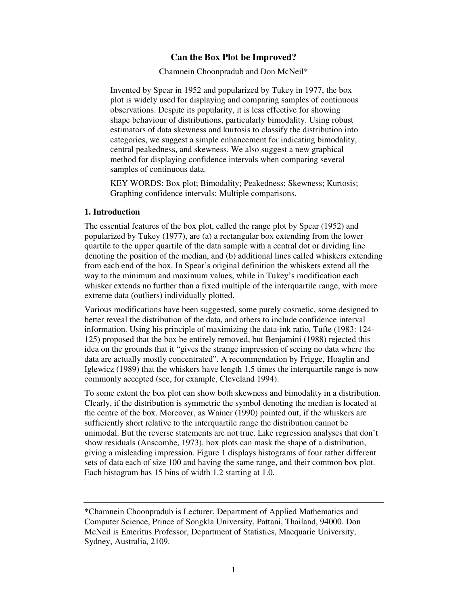# **Can the Box Plot be Improved?**

Chamnein Choonpradub and Don McNeil\*

Invented by Spear in 1952 and popularized by Tukey in 1977, the box plot is widely used for displaying and comparing samples of continuous observations. Despite its popularity, it is less effective for showing shape behaviour of distributions, particularly bimodality. Using robust estimators of data skewness and kurtosis to classify the distribution into categories, we suggest a simple enhancement for indicating bimodality, central peakedness, and skewness. We also suggest a new graphical method for displaying confidence intervals when comparing several samples of continuous data.

KEY WORDS: Box plot; Bimodality; Peakedness; Skewness; Kurtosis; Graphing confidence intervals; Multiple comparisons.

### **1. Introduction**

The essential features of the box plot, called the range plot by Spear (1952) and popularized by Tukey (1977), are (a) a rectangular box extending from the lower quartile to the upper quartile of the data sample with a central dot or dividing line denoting the position of the median, and (b) additional lines called whiskers extending from each end of the box. In Spear's original definition the whiskers extend all the way to the minimum and maximum values, while in Tukey's modification each whisker extends no further than a fixed multiple of the interquartile range, with more extreme data (outliers) individually plotted.

Various modifications have been suggested, some purely cosmetic, some designed to better reveal the distribution of the data, and others to include confidence interval information. Using his principle of maximizing the data-ink ratio, Tufte (1983: 124- 125) proposed that the box be entirely removed, but Benjamini (1988) rejected this idea on the grounds that it "gives the strange impression of seeing no data where the data are actually mostly concentrated". A recommendation by Frigge, Hoaglin and Iglewicz (1989) that the whiskers have length 1.5 times the interquartile range is now commonly accepted (see, for example, Cleveland 1994).

To some extent the box plot can show both skewness and bimodality in a distribution. Clearly, if the distribution is symmetric the symbol denoting the median is located at the centre of the box. Moreover, as Wainer (1990) pointed out, if the whiskers are sufficiently short relative to the interquartile range the distribution cannot be unimodal. But the reverse statements are not true. Like regression analyses that don't show residuals (Anscombe, 1973), box plots can mask the shape of a distribution, giving a misleading impression. Figure 1 displays histograms of four rather different sets of data each of size 100 and having the same range, and their common box plot. Each histogram has 15 bins of width 1.2 starting at 1.0.

<sup>\*</sup>Chamnein Choonpradub is Lecturer, Department of Applied Mathematics and Computer Science, Prince of Songkla University, Pattani, Thailand, 94000. Don McNeil is Emeritus Professor, Department of Statistics, Macquarie University, Sydney, Australia, 2109.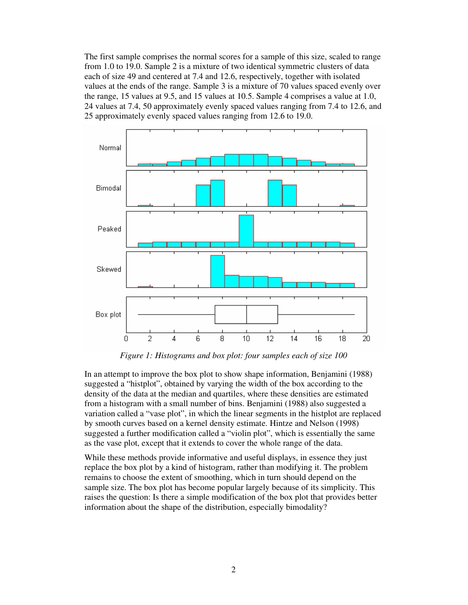The first sample comprises the normal scores for a sample of this size, scaled to range from 1.0 to 19.0. Sample 2 is a mixture of two identical symmetric clusters of data each of size 49 and centered at 7.4 and 12.6, respectively, together with isolated values at the ends of the range. Sample 3 is a mixture of 70 values spaced evenly over the range, 15 values at 9.5, and 15 values at 10.5. Sample 4 comprises a value at 1.0, 24 values at 7.4, 50 approximately evenly spaced values ranging from 7.4 to 12.6, and 25 approximately evenly spaced values ranging from 12.6 to 19.0.



*Figure 1: Histograms and box plot: four samples each of size 100*

In an attempt to improve the box plot to show shape information, Benjamini (1988) suggested a "histplot", obtained by varying the width of the box according to the density of the data at the median and quartiles, where these densities are estimated from a histogram with a small number of bins. Benjamini (1988) also suggested a variation called a "vase plot", in which the linear segments in the histplot are replaced by smooth curves based on a kernel density estimate. Hintze and Nelson (1998) suggested a further modification called a "violin plot", which is essentially the same as the vase plot, except that it extends to cover the whole range of the data.

While these methods provide informative and useful displays, in essence they just replace the box plot by a kind of histogram, rather than modifying it. The problem remains to choose the extent of smoothing, which in turn should depend on the sample size. The box plot has become popular largely because of its simplicity. This raises the question: Is there a simple modification of the box plot that provides better information about the shape of the distribution, especially bimodality?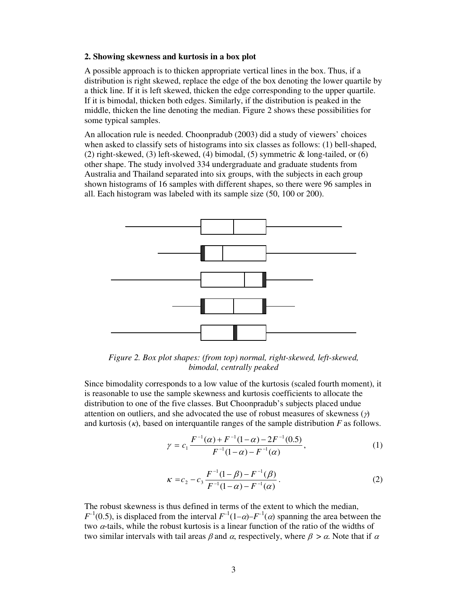#### **2. Showing skewness and kurtosis in a box plot**

A possible approach is to thicken appropriate vertical lines in the box. Thus, if a distribution is right skewed, replace the edge of the box denoting the lower quartile by a thick line. If it is left skewed, thicken the edge corresponding to the upper quartile. If it is bimodal, thicken both edges. Similarly, if the distribution is peaked in the middle, thicken the line denoting the median. Figure 2 shows these possibilities for some typical samples.

An allocation rule is needed. Choonpradub (2003) did a study of viewers' choices when asked to classify sets of histograms into six classes as follows: (1) bell-shaped, (2) right-skewed, (3) left-skewed, (4) bimodal, (5) symmetric & long-tailed, or (6) other shape. The study involved 334 undergraduate and graduate students from Australia and Thailand separated into six groups, with the subjects in each group shown histograms of 16 samples with different shapes, so there were 96 samples in all. Each histogram was labeled with its sample size (50, 100 or 200).



*Figure 2. Box plot shapes: (from top) normal, right-skewed, left-skewed, bimodal, centrally peaked*

Since bimodality corresponds to a low value of the kurtosis (scaled fourth moment), it is reasonable to use the sample skewness and kurtosis coefficients to allocate the distribution to one of the five classes. But Choonpradub's subjects placed undue attention on outliers, and she advocated the use of robust measures of skewness  $(\gamma)$ and kurtosis  $(\kappa)$ , based on interquantile ranges of the sample distribution  $F$  as follows.

$$
\gamma = c_1 \frac{F^{-1}(\alpha) + F^{-1}(1-\alpha) - 2F^{-1}(0.5)}{F^{-1}(1-\alpha) - F^{-1}(\alpha)},
$$
\n(1)

$$
\kappa = c_2 - c_3 \frac{F^{-1}(1-\beta) - F^{-1}(\beta)}{F^{-1}(1-\alpha) - F^{-1}(\alpha)}.
$$
\n(2)

The robust skewness is thus defined in terms of the extent to which the median,  $F^{-1}(0.5)$ , is displaced from the interval  $F^{-1}(1-\alpha) - F^{-1}(\alpha)$  spanning the area between the two  $\alpha$ -tails, while the robust kurtosis is a linear function of the ratio of the widths of two similar intervals with tail areas  $\beta$  and  $\alpha$ , respectively, where  $\beta > \alpha$ . Note that if  $\alpha$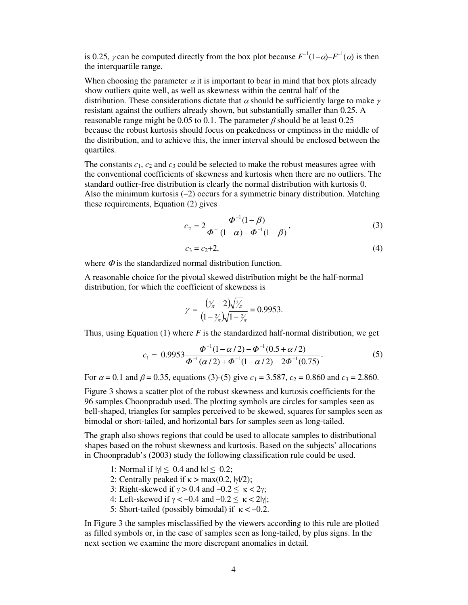is 0.25,  $\gamma$  can be computed directly from the box plot because  $F^{-1}(1-\alpha) - F^{-1}(\alpha)$  is then the interquartile range.

When choosing the parameter  $\alpha$  it is important to bear in mind that box plots already show outliers quite well, as well as skewness within the central half of the distribution. These considerations dictate that  $\alpha$  should be sufficiently large to make  $\gamma$ resistant against the outliers already shown, but substantially smaller than 0.25. A reasonable range might be 0.05 to 0.1. The parameter  $\beta$  should be at least 0.25 because the robust kurtosis should focus on peakedness or emptiness in the middle of the distribution, and to achieve this, the inner interval should be enclosed between the quartiles.

The constants  $c_1$ ,  $c_2$  and  $c_3$  could be selected to make the robust measures agree with the conventional coefficients of skewness and kurtosis when there are no outliers. The standard outlier-free distribution is clearly the normal distribution with kurtosis 0. Also the minimum kurtosis  $(-2)$  occurs for a symmetric binary distribution. Matching these requirements, Equation (2) gives

$$
c_2 = 2 \frac{\Phi^{-1}(1-\beta)}{\Phi^{-1}(1-\alpha) - \Phi^{-1}(1-\beta)},
$$
\n(3)

$$
c_3 = c_2 + 2,\tag{4}
$$

where  $\Phi$  is the standardized normal distribution function.

A reasonable choice for the pivotal skewed distribution might be the half-normal distribution, for which the coefficient of skewness is

$$
\gamma = \frac{(\frac{4}{\pi} - 2)\sqrt{\frac{2}{\pi}}}{(1 - \frac{2}{\pi})\sqrt{1 - \frac{2}{\pi}}} = 0.9953.
$$

Thus, using Equation (1) where *F* is the standardized half-normal distribution, we get

$$
c_1 = 0.9953 \frac{\Phi^{-1}(1 - \alpha/2) - \Phi^{-1}(0.5 + \alpha/2)}{\Phi^{-1}(\alpha/2) + \Phi^{-1}(1 - \alpha/2) - 2\Phi^{-1}(0.75)}.
$$
\n
$$
(5)
$$

For  $\alpha = 0.1$  and  $\beta = 0.35$ , equations (3)-(5) give  $c_1 = 3.587$ ,  $c_2 = 0.860$  and  $c_3 = 2.860$ .

Figure 3 shows a scatter plot of the robust skewness and kurtosis coefficients for the 96 samples Choonpradub used. The plotting symbols are circles for samples seen as bell-shaped, triangles for samples perceived to be skewed, squares for samples seen as bimodal or short-tailed, and horizontal bars for samples seen as long-tailed.

The graph also shows regions that could be used to allocate samples to distributional shapes based on the robust skewness and kurtosis. Based on the subjects' allocations in Choonpradub's (2003) study the following classification rule could be used.

- 1: Normal if  $|\gamma| \leq 0.4$  and  $|\kappa| \leq 0.2$ ;
- 2: Centrally peaked if  $\kappa > \max(0.2, |\gamma|/2)$ ;
- 3: Right-skewed if  $\gamma > 0.4$  and  $-0.2 \le \kappa < 2\gamma$ ;
- 4: Left-skewed if  $\gamma < -0.4$  and  $-0.2 \le \kappa < 2|\gamma|$ ;
- 5: Short-tailed (possibly bimodal) if  $\kappa < -0.2$ .

In Figure 3 the samples misclassified by the viewers according to this rule are plotted as filled symbols or, in the case of samples seen as long-tailed, by plus signs. In the next section we examine the more discrepant anomalies in detail.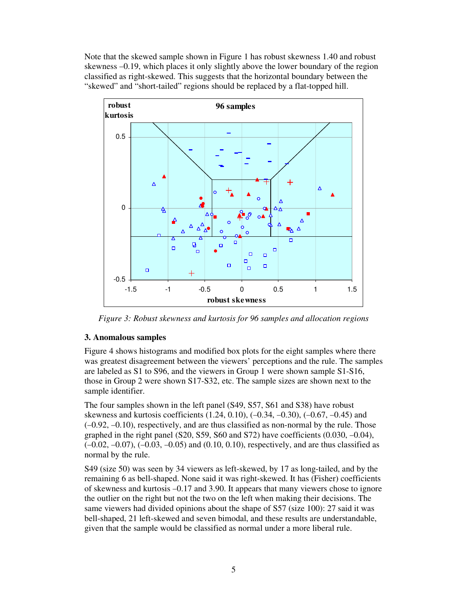Note that the skewed sample shown in Figure 1 has robust skewness 1.40 and robust skewness  $-0.19$ , which places it only slightly above the lower boundary of the region classified as right-skewed. This suggests that the horizontal boundary between the "skewed" and "short-tailed" regions should be replaced by a flat-topped hill.



*Figure 3: Robust skewness and kurtosis for 96 samples and allocation regions*

#### **3. Anomalous samples**

Figure 4 shows histograms and modified box plots for the eight samples where there was greatest disagreement between the viewers' perceptions and the rule. The samples are labeled as S1 to S96, and the viewers in Group 1 were shown sample S1-S16, those in Group 2 were shown S17-S32, etc. The sample sizes are shown next to the sample identifier.

The four samples shown in the left panel (S49, S57, S61 and S38) have robust skewness and kurtosis coefficients  $(1.24, 0.10)$ ,  $(-0.34, -0.30)$ ,  $(-0.67, -0.45)$  and  $(-0.92, -0.10)$ , respectively, and are thus classified as non-normal by the rule. Those graphed in the right panel (S20, S59, S60 and S72) have coefficients  $(0.030, -0.04)$ ,  $(-0.02, -0.07)$ ,  $(-0.03, -0.05)$  and  $(0.10, 0.10)$ , respectively, and are thus classified as normal by the rule.

S49 (size 50) was seen by 34 viewers as left-skewed, by 17 as long-tailed, and by the remaining 6 as bell-shaped. None said it was right-skewed. It has (Fisher) coefficients of skewness and kurtosis  $-0.17$  and 3.90. It appears that many viewers chose to ignore the outlier on the right but not the two on the left when making their decisions. The same viewers had divided opinions about the shape of S57 (size 100): 27 said it was bell-shaped, 21 left-skewed and seven bimodal, and these results are understandable, given that the sample would be classified as normal under a more liberal rule.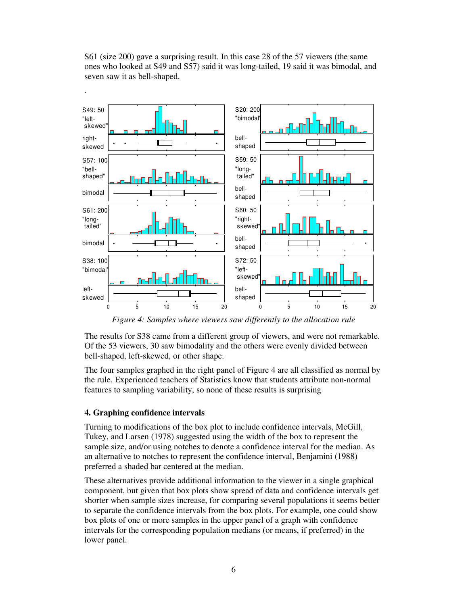

S61 (size 200) gave a surprising result. In this case 28 of the 57 viewers (the same ones who looked at S49 and S57) said it was long-tailed, 19 said it was bimodal, and seven saw it as bell-shaped.

*Figure 4: Samples where viewers saw differently to the allocation rule*

The results for S38 came from a different group of viewers, and were not remarkable. Of the 53 viewers, 30 saw bimodality and the others were evenly divided between bell-shaped, left-skewed, or other shape.

The four samples graphed in the right panel of Figure 4 are all classified as normal by the rule. Experienced teachers of Statistics know that students attribute non-normal features to sampling variability, so none of these results is surprising

#### **4. Graphing confidence intervals**

Turning to modifications of the box plot to include confidence intervals, McGill, Tukey, and Larsen (1978) suggested using the width of the box to represent the sample size, and/or using notches to denote a confidence interval for the median. As an alternative to notches to represent the confidence interval, Benjamini (1988) preferred a shaded bar centered at the median.

These alternatives provide additional information to the viewer in a single graphical component, but given that box plots show spread of data and confidence intervals get shorter when sample sizes increase, for comparing several populations it seems better to separate the confidence intervals from the box plots. For example, one could show box plots of one or more samples in the upper panel of a graph with confidence intervals for the corresponding population medians (or means, if preferred) in the lower panel.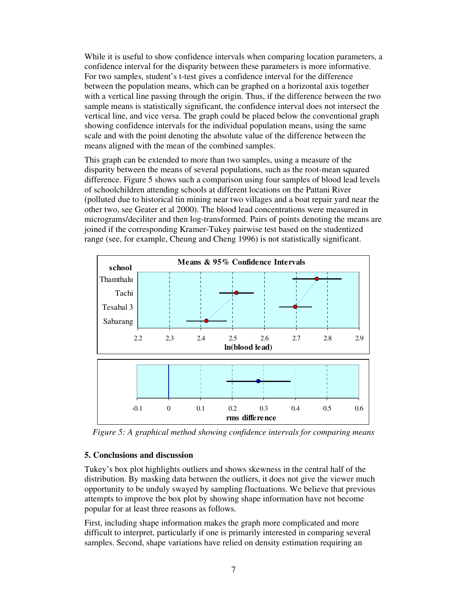While it is useful to show confidence intervals when comparing location parameters, a confidence interval for the disparity between these parameters is more informative. For two samples, student's t-test gives a confidence interval for the difference between the population means, which can be graphed on a horizontal axis together with a vertical line passing through the origin. Thus, if the difference between the two sample means is statistically significant, the confidence interval does not intersect the vertical line, and vice versa. The graph could be placed below the conventional graph showing confidence intervals for the individual population means, using the same scale and with the point denoting the absolute value of the difference between the means aligned with the mean of the combined samples.

This graph can be extended to more than two samples, using a measure of the disparity between the means of several populations, such as the root-mean squared difference. Figure 5 shows such a comparison using four samples of blood lead levels of schoolchildren attending schools at different locations on the Pattani River (polluted due to historical tin mining near two villages and a boat repair yard near the other two, see Geater et al 2000). The blood lead concentrations were measured in micrograms/deciliter and then log-transformed. Pairs of points denoting the means are joined if the corresponding Kramer-Tukey pairwise test based on the studentized range (see, for example, Cheung and Cheng 1996) is not statistically significant.



*Figure 5: A graphical method showing confidence intervals for comparing means*

## **5. Conclusions and discussion**

Tukey's box plot highlights outliers and shows skewness in the central half of the distribution. By masking data between the outliers, it does not give the viewer much opportunity to be unduly swayed by sampling fluctuations. We believe that previous attempts to improve the box plot by showing shape information have not become popular for at least three reasons as follows.

First, including shape information makes the graph more complicated and more difficult to interpret, particularly if one is primarily interested in comparing several samples. Second, shape variations have relied on density estimation requiring an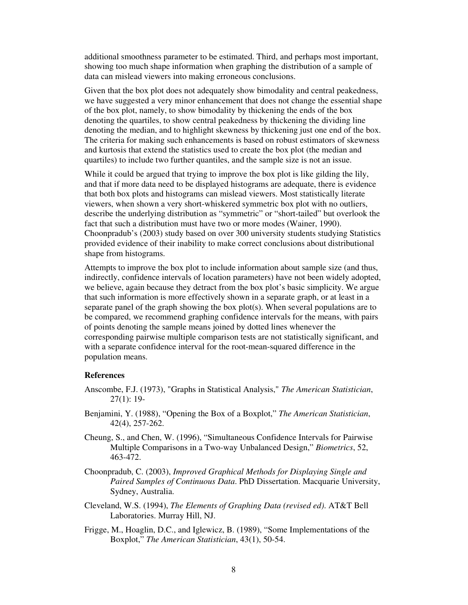additional smoothness parameter to be estimated. Third, and perhaps most important, showing too much shape information when graphing the distribution of a sample of data can mislead viewers into making erroneous conclusions.

Given that the box plot does not adequately show bimodality and central peakedness, we have suggested a very minor enhancement that does not change the essential shape of the box plot, namely, to show bimodality by thickening the ends of the box denoting the quartiles, to show central peakedness by thickening the dividing line denoting the median, and to highlight skewness by thickening just one end of the box. The criteria for making such enhancements is based on robust estimators of skewness and kurtosis that extend the statistics used to create the box plot (the median and quartiles) to include two further quantiles, and the sample size is not an issue.

While it could be argued that trying to improve the box plot is like gilding the lily, and that if more data need to be displayed histograms are adequate, there is evidence that both box plots and histograms can mislead viewers. Most statistically literate viewers, when shown a very short-whiskered symmetric box plot with no outliers, describe the underlying distribution as "symmetric" or "short-tailed" but overlook the fact that such a distribution must have two or more modes (Wainer, 1990). Choonpradub's (2003) study based on over 300 university students studying Statistics provided evidence of their inability to make correct conclusions about distributional shape from histograms.

Attempts to improve the box plot to include information about sample size (and thus, indirectly, confidence intervals of location parameters) have not been widely adopted, we believe, again because they detract from the box plot's basic simplicity. We argue that such information is more effectively shown in a separate graph, or at least in a separate panel of the graph showing the box plot(s). When several populations are to be compared, we recommend graphing confidence intervals for the means, with pairs of points denoting the sample means joined by dotted lines whenever the corresponding pairwise multiple comparison tests are not statistically significant, and with a separate confidence interval for the root-mean-squared difference in the population means.

#### **References**

- Anscombe, F.J. (1973), "Graphs in Statistical Analysis," *The American Statistician*, 27(1): 19-
- Benjamini, Y. (1988), "Opening the Box of a Boxplot," *The American Statistician*, 42(4), 257-262.
- Cheung, S., and Chen, W. (1996), "Simultaneous Confidence Intervals for Pairwise Multiple Comparisons in a Two-way Unbalanced Design," *Biometrics*, 52, 463-472.
- Choonpradub, C. (2003), *Improved Graphical Methods for Displaying Single and Paired Samples of Continuous Data*. PhD Dissertation. Macquarie University, Sydney, Australia.
- Cleveland, W.S. (1994), *The Elements of Graphing Data (revised ed)*. AT&T Bell Laboratories. Murray Hill, NJ.
- Frigge, M., Hoaglin, D.C., and Iglewicz, B. (1989), "Some Implementations of the Boxplot," *The American Statistician*, 43(1), 50-54.